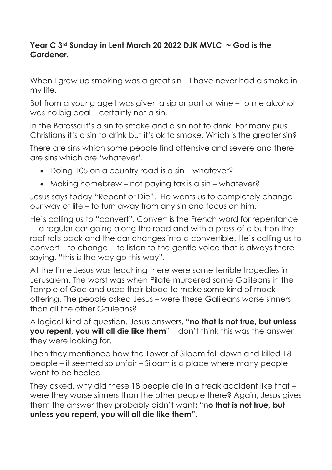## **Year C 3rd Sunday in Lent March 20 2022 DJK MVLC ~ God is the Gardener.**

When I grew up smoking was a great sin – I have never had a smoke in my life.

But from a young age I was given a sip or port or wine – to me alcohol was no big deal – certainly not a sin.

In the Barossa it's a sin to smoke and a sin not to drink. For many pius Christians it's a sin to drink but it's ok to smoke. Which is the greater sin?

There are sins which some people find offensive and severe and there are sins which are 'whatever'.

- Doing 105 on a country road is a sin whatever?
- Making homebrew not paying tax is a sin whatever?

Jesus says today "Repent or Die". He wants us to completely change our way of life – to turn away from any sin and focus on him.

He's calling us to "convert". Convert is the French word for repentance -– a regular car going along the road and with a press of a button the roof rolls back and the car changes into a convertible. He's calling us to convert – to change - to listen to the gentle voice that is always there saying, "this is the way go this way".

At the time Jesus was teaching there were some terrible tragedies in Jerusalem. The worst was when Pilate murdered some Galileans in the Temple of God and used their blood to make some kind of mock offering. The people asked Jesus – were these Galileans worse sinners than all the other Galileans?

A logical kind of question. Jesus answers, "**no that is not true, but unless you repent, you will all die like them**". I don't think this was the answer they were looking for.

Then they mentioned how the Tower of Siloam fell down and killed 18 people – it seemed so unfair – Siloam is a place where many people went to be healed.

They asked, why did these 18 people die in a freak accident like that – were they worse sinners than the other people there? Again, Jesus gives them the answer they probably didn't want**:** "n**o that is not true, but unless you repent, you will all die like them".**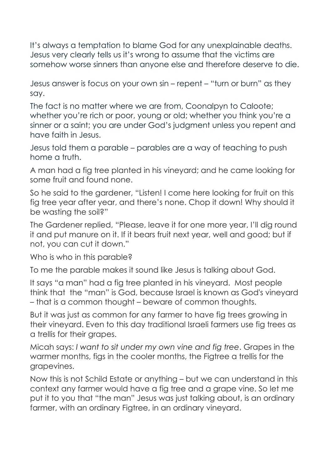It's always a temptation to blame God for any unexplainable deaths. Jesus very clearly tells us it's wrong to assume that the victims are somehow worse sinners than anyone else and therefore deserve to die.

Jesus answer is focus on your own sin – repent – "turn or burn" as they say.

The fact is no matter where we are from, Coonalpyn to Caloote; whether you're rich or poor, young or old; whether you think you're a sinner or a saint; you are under God's judgment unless you repent and have faith in Jesus.

Jesus told them a parable – parables are a way of teaching to push home a truth.

A man had a fig tree planted in his vineyard; and he came looking for some fruit and found none.

So he said to the gardener, "Listen! I come here looking for fruit on this fig tree year after year, and there's none. Chop it down! Why should it be wasting the soil?"

The Gardener replied, "Please, leave it for one more year, I'll dig round it and put manure on it. If it bears fruit next year, well and good; but if not, you can cut it down."

Who is who in this parable?

To me the parable makes it sound like Jesus is talking about God.

It says "a man" had a fig tree planted in his vineyard. Most people think that the "man" is God, because Israel is known as God's vineyard – that is a common thought – beware of common thoughts.

But it was just as common for any farmer to have fig trees growing in their vineyard. Even to this day traditional Israeli farmers use fig trees as a trellis for their grapes.

Micah says: *I want to sit under my own vine and fig tree*. Grapes in the warmer months, figs in the cooler months, the Figtree a trellis for the grapevines.

Now this is not Schild Estate or anything – but we can understand in this context any farmer would have a fig tree and a grape vine. So let me put it to you that "the man" Jesus was just talking about, is an ordinary farmer, with an ordinary Figtree, in an ordinary vineyard.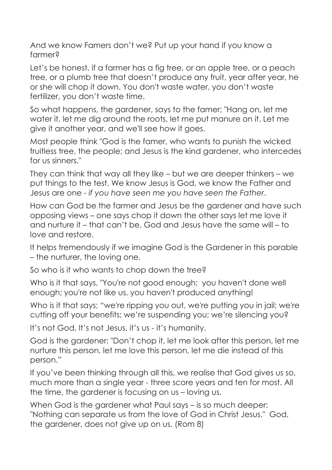And we know Famers don't we? Put up your hand if you know a farmer?

Let's be honest, if a farmer has a fig tree, or an apple tree, or a peach tree, or a plumb tree that doesn't produce any fruit, year after year, he or she will chop it down. You don't waste water, you don't waste fertilizer, you don't waste time.

So what happens, the gardener, says to the famer; "Hang on, let me water it, let me dig around the roots, let me put manure on it. Let me give it another year, and we'll see how it goes.

Most people think "God is the famer, who wants to punish the wicked fruitless tree, the people; and Jesus is the kind gardener, who intercedes for us sinners."

They can think that way all they like – but we are deeper thinkers – we put things to the test. We know Jesus is God, we know the Father and Jesus are one - *if you have seen me you have seen the Father*.

How can God be the farmer and Jesus be the gardener and have such opposing views – one says chop it down the other says let me love it and nurture it – that can't be. God and Jesus have the same will – to love and restore.

It helps tremendously if we imagine God is the Gardener in this parable – the nurturer, the loving one.

So who is it who wants to chop down the tree?

Who is it that says, "You're not good enough; you haven't done well enough; you're not like us, you haven't produced anything!

Who is it that says; "we're ripping you out, we're putting you in jail; we're cutting off your benefits; we're suspending you; we're silencing you?

It's not God, It's not Jesus, it's us - it's humanity.

God is the gardener: "Don't chop it, let me look after this person, let me nurture this person, let me love this person, let me die instead of this person."

If you've been thinking through all this, we realise that God gives us so, much more than a single year - three score years and ten for most. All the time, the gardener is focusing on us – loving us.

When God is the gardener what Paul says – is so much deeper: "Nothing can separate us from the love of God in Christ Jesus." God, the gardener, does not give up on us. (Rom 8)